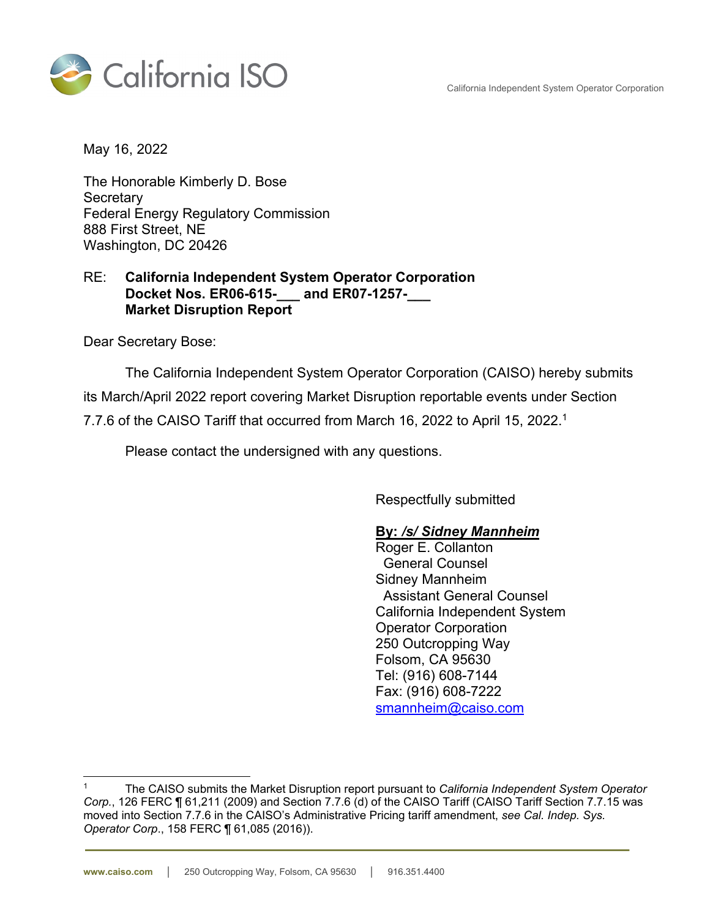California Independent System Operator Corporation



May 16, 2022

The Honorable Kimberly D. Bose **Secretary** Federal Energy Regulatory Commission 888 First Street, NE Washington, DC 20426

#### RE: **California Independent System Operator Corporation Docket Nos. ER06-615-\_\_\_ and ER07-1257-\_\_\_ Market Disruption Report**

Dear Secretary Bose:

The California Independent System Operator Corporation (CAISO) hereby submits its March/April 2022 report covering Market Disruption reportable events under Section 7.7.6 of the CAISO Tariff that occurred from March 16, 2022 to April 15, 2022.1

Please contact the undersigned with any questions.

Respectfully submitted

#### **By:** */s/ Sidney Mannheim*

Roger E. Collanton General Counsel Sidney Mannheim Assistant General Counsel California Independent System Operator Corporation 250 Outcropping Way Folsom, CA 95630 Tel: (916) 608-7144 Fax: (916) 608-7222 smannheim@caiso.com

<sup>1</sup> The CAISO submits the Market Disruption report pursuant to *California Independent System Operator Corp.*, 126 FERC ¶ 61,211 (2009) and Section 7.7.6 (d) of the CAISO Tariff (CAISO Tariff Section 7.7.15 was moved into Section 7.7.6 in the CAISO's Administrative Pricing tariff amendment, *see Cal. Indep. Sys. Operator Corp*., 158 FERC ¶ 61,085 (2016)).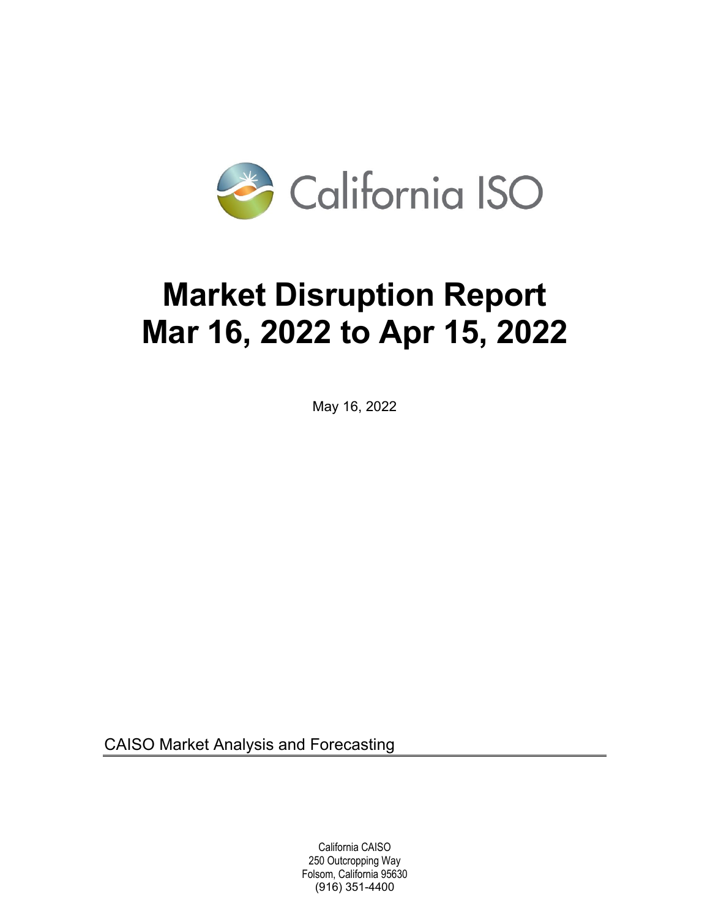

# **Market Disruption Report Mar 16, 2022 to Apr 15, 2022**

May 16, 2022

CAISO Market Analysis and Forecasting

 California CAISO 250 Outcropping Way Folsom, California 95630 (916) 351-4400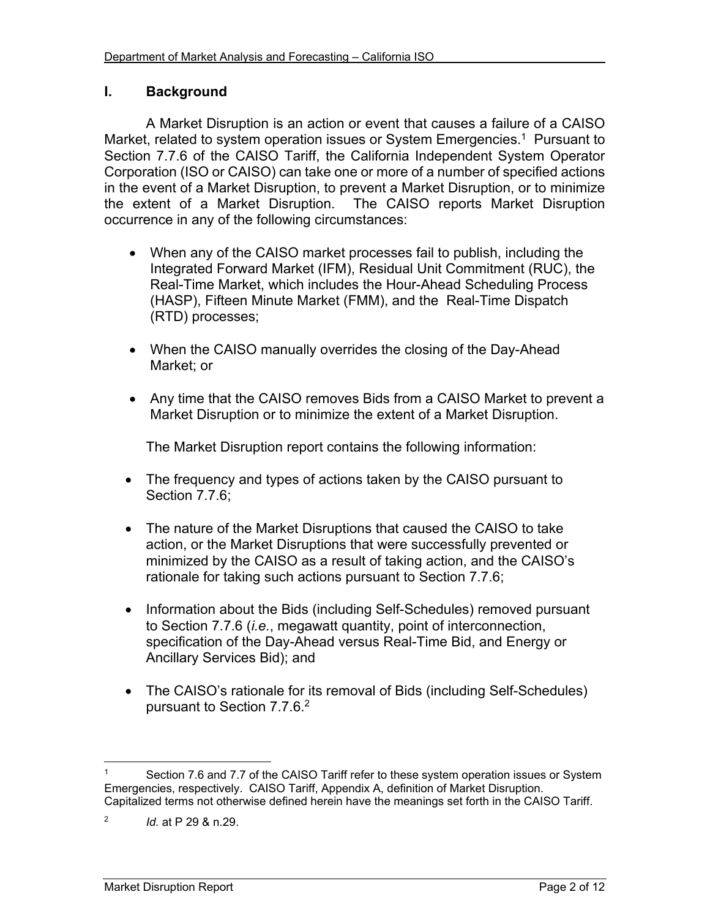#### **I. Background**

A Market Disruption is an action or event that causes a failure of a CAISO Market, related to system operation issues or System Emergencies.<sup>1</sup> Pursuant to Section 7.7.6 of the CAISO Tariff, the California Independent System Operator Corporation (ISO or CAISO) can take one or more of a number of specified actions in the event of a Market Disruption, to prevent a Market Disruption, or to minimize the extent of a Market Disruption. The CAISO reports Market Disruption occurrence in any of the following circumstances:

- When any of the CAISO market processes fail to publish, including the Integrated Forward Market (IFM), Residual Unit Commitment (RUC), the Real-Time Market, which includes the Hour-Ahead Scheduling Process (HASP), Fifteen Minute Market (FMM), and the Real-Time Dispatch (RTD) processes;
- When the CAISO manually overrides the closing of the Day-Ahead Market; or
- Any time that the CAISO removes Bids from a CAISO Market to prevent a Market Disruption or to minimize the extent of a Market Disruption.

The Market Disruption report contains the following information:

- The frequency and types of actions taken by the CAISO pursuant to Section 7.7.6;
- The nature of the Market Disruptions that caused the CAISO to take action, or the Market Disruptions that were successfully prevented or minimized by the CAISO as a result of taking action, and the CAISO's rationale for taking such actions pursuant to Section 7.7.6;
- Information about the Bids (including Self-Schedules) removed pursuant to Section 7.7.6 (*i.e.*, megawatt quantity, point of interconnection, specification of the Day-Ahead versus Real-Time Bid, and Energy or Ancillary Services Bid); and
- The CAISO's rationale for its removal of Bids (including Self-Schedules) pursuant to Section 7.7.6.2

 $\overline{a}$ 

Section 7.6 and 7.7 of the CAISO Tariff refer to these system operation issues or System Emergencies, respectively. CAISO Tariff, Appendix A, definition of Market Disruption. Capitalized terms not otherwise defined herein have the meanings set forth in the CAISO Tariff.

<sup>2</sup> *Id.* at P 29 & n.29.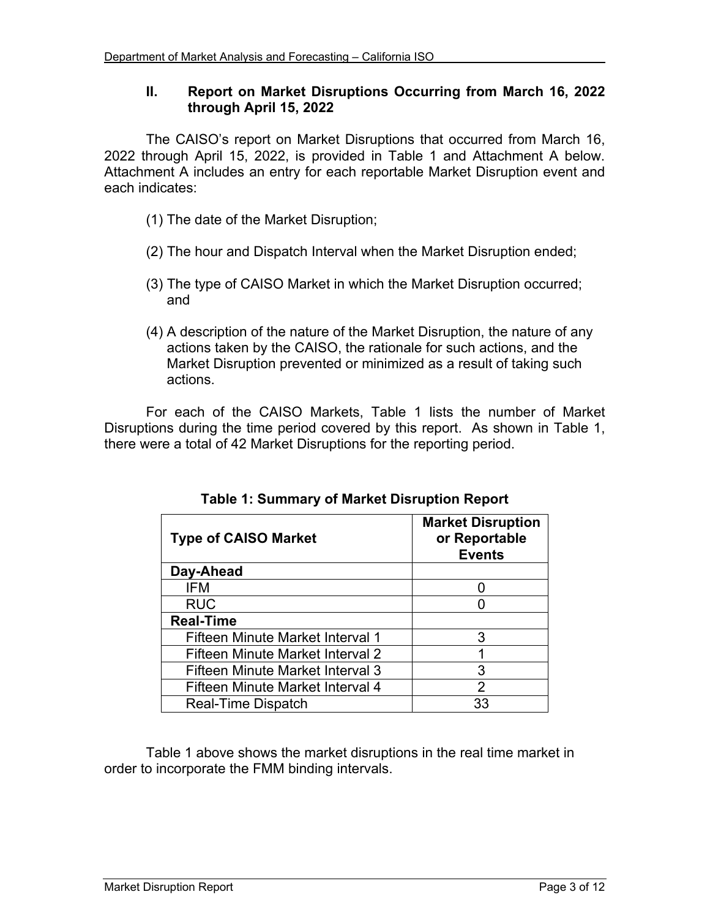## **II. Report on Market Disruptions Occurring from March 16, 2022 through April 15, 2022**

The CAISO's report on Market Disruptions that occurred from March 16, 2022 through April 15, 2022, is provided in Table 1 and Attachment A below. Attachment A includes an entry for each reportable Market Disruption event and each indicates:

- (1) The date of the Market Disruption;
- (2) The hour and Dispatch Interval when the Market Disruption ended;
- (3) The type of CAISO Market in which the Market Disruption occurred; and
- (4) A description of the nature of the Market Disruption, the nature of any actions taken by the CAISO, the rationale for such actions, and the Market Disruption prevented or minimized as a result of taking such actions.

For each of the CAISO Markets, Table 1 lists the number of Market Disruptions during the time period covered by this report. As shown in Table 1, there were a total of 42 Market Disruptions for the reporting period.

| <b>Type of CAISO Market</b>      | <b>Market Disruption</b><br>or Reportable<br><b>Events</b> |
|----------------------------------|------------------------------------------------------------|
| Day-Ahead                        |                                                            |
| IFM                              |                                                            |
| <b>RUC</b>                       |                                                            |
| <b>Real-Time</b>                 |                                                            |
| Fifteen Minute Market Interval 1 | 3                                                          |
| Fifteen Minute Market Interval 2 |                                                            |
| Fifteen Minute Market Interval 3 | 3                                                          |
| Fifteen Minute Market Interval 4 | 2                                                          |
| Real-Time Dispatch               | 33                                                         |

**Table 1: Summary of Market Disruption Report** 

Table 1 above shows the market disruptions in the real time market in order to incorporate the FMM binding intervals.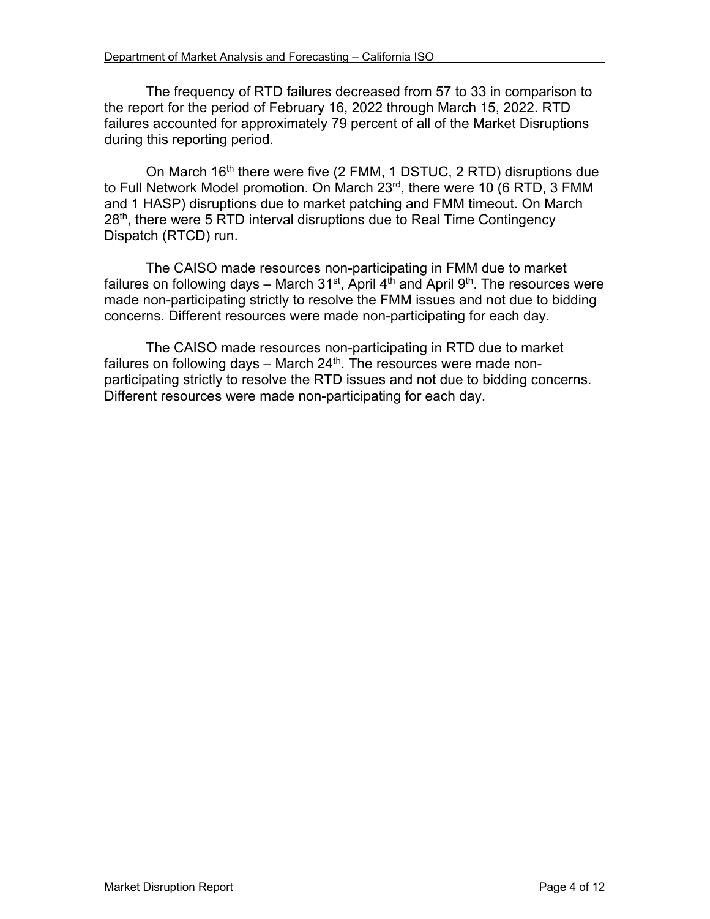The frequency of RTD failures decreased from 57 to 33 in comparison to the report for the period of February 16, 2022 through March 15, 2022. RTD failures accounted for approximately 79 percent of all of the Market Disruptions during this reporting period.

On March  $16<sup>th</sup>$  there were five (2 FMM, 1 DSTUC, 2 RTD) disruptions due to Full Network Model promotion. On March 23<sup>rd</sup>, there were 10 (6 RTD, 3 FMM and 1 HASP) disruptions due to market patching and FMM timeout. On March 28<sup>th</sup>, there were 5 RTD interval disruptions due to Real Time Contingency Dispatch (RTCD) run.

The CAISO made resources non-participating in FMM due to market failures on following days – March 31<sup>st</sup>, April 4<sup>th</sup> and April 9<sup>th</sup>. The resources were made non-participating strictly to resolve the FMM issues and not due to bidding concerns. Different resources were made non-participating for each day.

The CAISO made resources non-participating in RTD due to market failures on following days  $-$  March 24<sup>th</sup>. The resources were made nonparticipating strictly to resolve the RTD issues and not due to bidding concerns. Different resources were made non-participating for each day.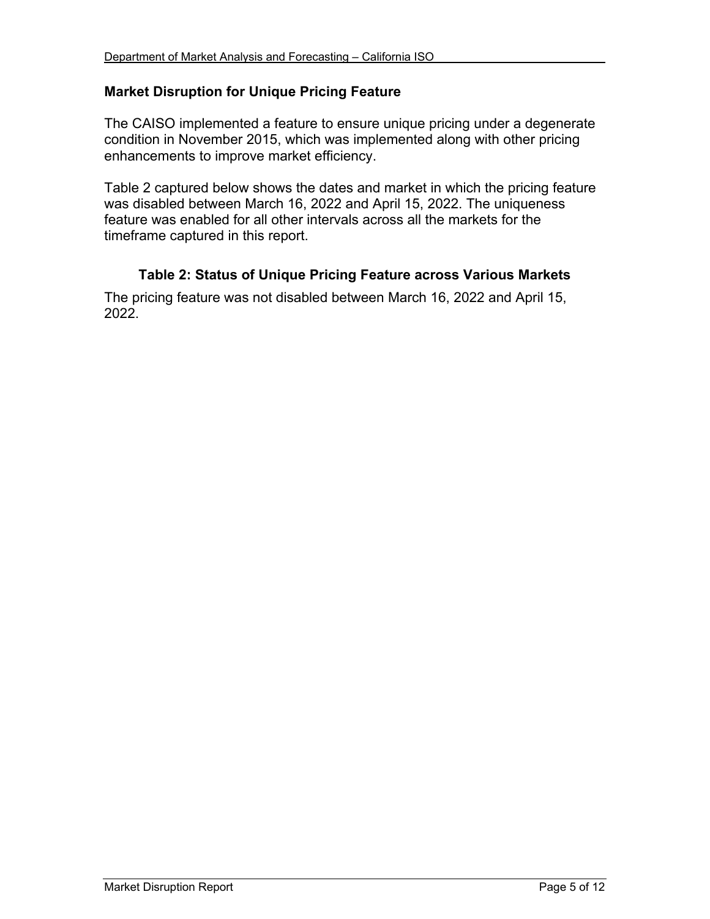## **Market Disruption for Unique Pricing Feature**

The CAISO implemented a feature to ensure unique pricing under a degenerate condition in November 2015, which was implemented along with other pricing enhancements to improve market efficiency.

Table 2 captured below shows the dates and market in which the pricing feature was disabled between March 16, 2022 and April 15, 2022. The uniqueness feature was enabled for all other intervals across all the markets for the timeframe captured in this report.

## **Table 2: Status of Unique Pricing Feature across Various Markets**

The pricing feature was not disabled between March 16, 2022 and April 15, 2022.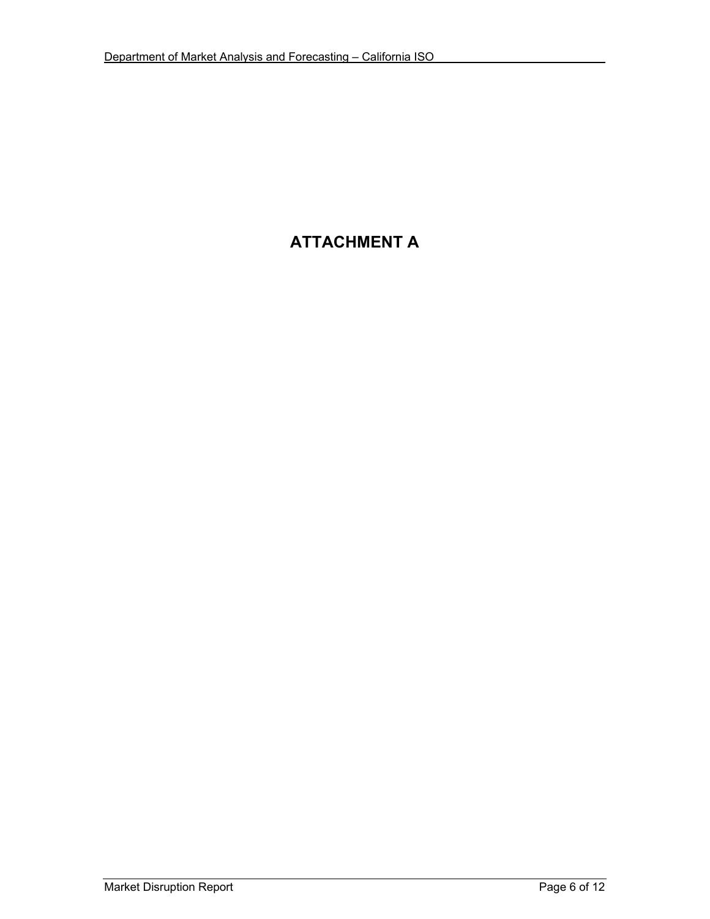# **ATTACHMENT A**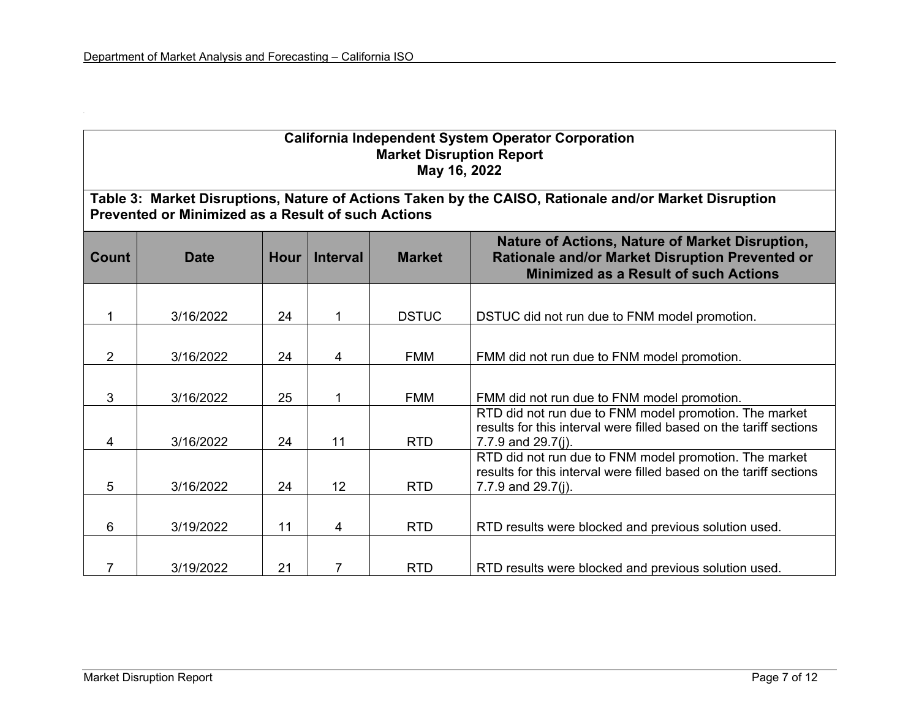| <b>California Independent System Operator Corporation</b><br><b>Market Disruption Report</b><br>May 16, 2022                                                       |             |             |                 |               |                                                                                                                                                       |  |  |
|--------------------------------------------------------------------------------------------------------------------------------------------------------------------|-------------|-------------|-----------------|---------------|-------------------------------------------------------------------------------------------------------------------------------------------------------|--|--|
| Table 3: Market Disruptions, Nature of Actions Taken by the CAISO, Rationale and/or Market Disruption<br><b>Prevented or Minimized as a Result of such Actions</b> |             |             |                 |               |                                                                                                                                                       |  |  |
| <b>Count</b>                                                                                                                                                       | <b>Date</b> | <b>Hour</b> | <b>Interval</b> | <b>Market</b> | Nature of Actions, Nature of Market Disruption,<br>Rationale and/or Market Disruption Prevented or<br><b>Minimized as a Result of such Actions</b>    |  |  |
| 1                                                                                                                                                                  | 3/16/2022   | 24          |                 | <b>DSTUC</b>  | DSTUC did not run due to FNM model promotion.                                                                                                         |  |  |
| $\overline{2}$                                                                                                                                                     | 3/16/2022   | 24          | 4               | <b>FMM</b>    | FMM did not run due to FNM model promotion.                                                                                                           |  |  |
| 3                                                                                                                                                                  | 3/16/2022   | 25          |                 | <b>FMM</b>    | FMM did not run due to FNM model promotion.                                                                                                           |  |  |
| 4                                                                                                                                                                  | 3/16/2022   | 24          | 11              | <b>RTD</b>    | RTD did not run due to FNM model promotion. The market<br>results for this interval were filled based on the tariff sections<br>7.7.9 and $29.7(j)$ . |  |  |
| 5                                                                                                                                                                  | 3/16/2022   | 24          | 12              | <b>RTD</b>    | RTD did not run due to FNM model promotion. The market<br>results for this interval were filled based on the tariff sections<br>7.7.9 and $29.7(j)$ . |  |  |
| 6                                                                                                                                                                  | 3/19/2022   | 11          | 4               | <b>RTD</b>    | RTD results were blocked and previous solution used.                                                                                                  |  |  |
| 7                                                                                                                                                                  | 3/19/2022   | 21          | $\overline{7}$  | <b>RTD</b>    | RTD results were blocked and previous solution used.                                                                                                  |  |  |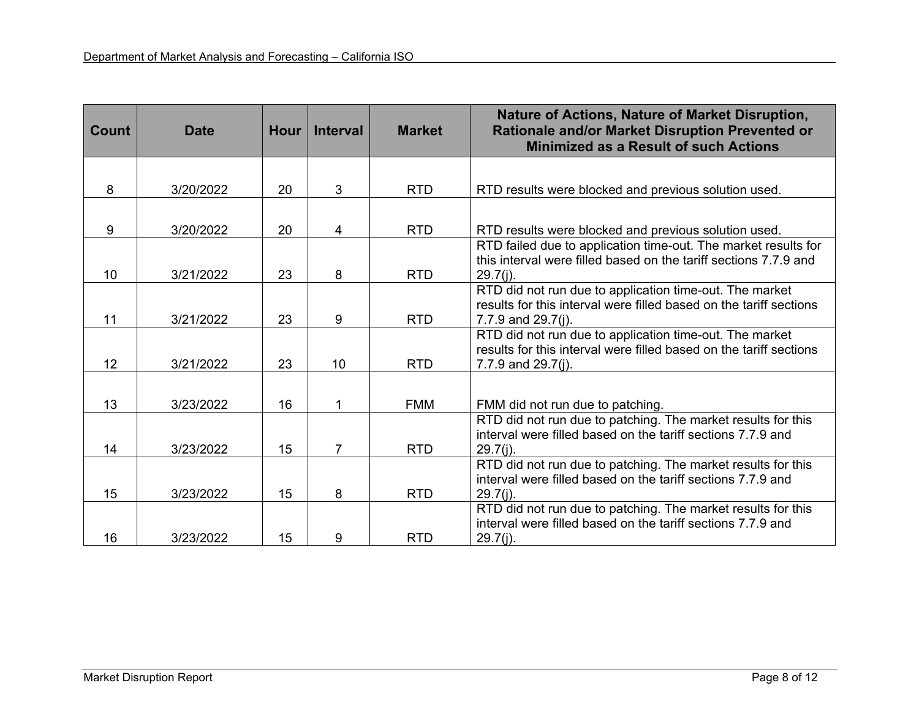| <b>Count</b> | <b>Date</b> | <b>Hour</b> | <b>Interval</b> | <b>Market</b> | Nature of Actions, Nature of Market Disruption,<br>Rationale and/or Market Disruption Prevented or<br><b>Minimized as a Result of such Actions</b> |
|--------------|-------------|-------------|-----------------|---------------|----------------------------------------------------------------------------------------------------------------------------------------------------|
|              |             |             |                 |               |                                                                                                                                                    |
| 8            | 3/20/2022   | 20          | 3               | <b>RTD</b>    | RTD results were blocked and previous solution used.                                                                                               |
|              |             |             |                 |               |                                                                                                                                                    |
| 9            | 3/20/2022   | 20          | 4               | <b>RTD</b>    | RTD results were blocked and previous solution used.                                                                                               |
|              |             |             |                 |               | RTD failed due to application time-out. The market results for<br>this interval were filled based on the tariff sections 7.7.9 and                 |
| 10           | 3/21/2022   | 23          | 8               | <b>RTD</b>    | $29.7(i)$ .                                                                                                                                        |
|              |             |             |                 |               | RTD did not run due to application time-out. The market                                                                                            |
| 11           | 3/21/2022   | 23          | 9               | <b>RTD</b>    | results for this interval were filled based on the tariff sections<br>7.7.9 and 29.7(j).                                                           |
|              |             |             |                 |               | RTD did not run due to application time-out. The market                                                                                            |
|              |             |             |                 |               | results for this interval were filled based on the tariff sections                                                                                 |
| 12           | 3/21/2022   | 23          | 10              | <b>RTD</b>    | 7.7.9 and $29.7(j)$ .                                                                                                                              |
|              |             |             |                 |               |                                                                                                                                                    |
| 13           | 3/23/2022   | 16          | 1               | <b>FMM</b>    | FMM did not run due to patching.                                                                                                                   |
|              |             |             |                 |               | RTD did not run due to patching. The market results for this<br>interval were filled based on the tariff sections 7.7.9 and                        |
| 14           | 3/23/2022   | 15          | $\overline{7}$  | <b>RTD</b>    | $29.7(j)$ .                                                                                                                                        |
|              |             |             |                 |               | RTD did not run due to patching. The market results for this                                                                                       |
| 15           | 3/23/2022   | 15          | 8               | <b>RTD</b>    | interval were filled based on the tariff sections 7.7.9 and<br>$29.7(j)$ .                                                                         |
|              |             |             |                 |               | RTD did not run due to patching. The market results for this                                                                                       |
|              |             |             |                 |               | interval were filled based on the tariff sections 7.7.9 and                                                                                        |
| 16           | 3/23/2022   | 15          | 9               | <b>RTD</b>    | $29.7(j)$ .                                                                                                                                        |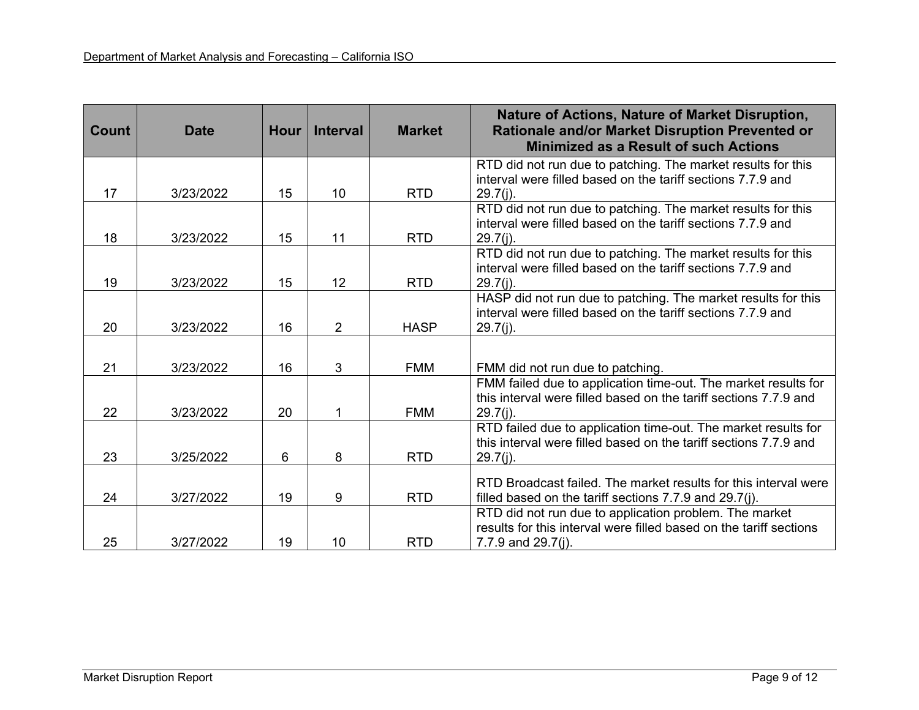| <b>Count</b> | <b>Date</b> | <b>Hour</b> | <b>Interval</b> | <b>Market</b> | Nature of Actions, Nature of Market Disruption,<br>Rationale and/or Market Disruption Prevented or<br><b>Minimized as a Result of such Actions</b> |
|--------------|-------------|-------------|-----------------|---------------|----------------------------------------------------------------------------------------------------------------------------------------------------|
|              |             |             |                 |               | RTD did not run due to patching. The market results for this                                                                                       |
| 17           | 3/23/2022   | 15          | 10              | <b>RTD</b>    | interval were filled based on the tariff sections 7.7.9 and<br>$29.7(j)$ .                                                                         |
|              |             |             |                 |               | RTD did not run due to patching. The market results for this                                                                                       |
| 18           | 3/23/2022   | 15          | 11              | <b>RTD</b>    | interval were filled based on the tariff sections 7.7.9 and<br>$29.7(j)$ .                                                                         |
|              |             |             |                 |               | RTD did not run due to patching. The market results for this                                                                                       |
|              |             |             |                 |               | interval were filled based on the tariff sections 7.7.9 and                                                                                        |
| 19           | 3/23/2022   | 15          | 12              | <b>RTD</b>    | $29.7(j)$ .                                                                                                                                        |
|              |             |             |                 |               | HASP did not run due to patching. The market results for this<br>interval were filled based on the tariff sections 7.7.9 and                       |
| 20           | 3/23/2022   | 16          | $\overline{2}$  | <b>HASP</b>   | $29.7(j)$ .                                                                                                                                        |
|              |             |             |                 |               |                                                                                                                                                    |
| 21           | 3/23/2022   | 16          | 3               | <b>FMM</b>    |                                                                                                                                                    |
|              |             |             |                 |               | FMM did not run due to patching.<br>FMM failed due to application time-out. The market results for                                                 |
|              |             |             |                 |               | this interval were filled based on the tariff sections 7.7.9 and                                                                                   |
| 22           | 3/23/2022   | 20          |                 | <b>FMM</b>    | $29.7(j)$ .                                                                                                                                        |
|              |             |             |                 |               | RTD failed due to application time-out. The market results for                                                                                     |
|              |             |             |                 |               | this interval were filled based on the tariff sections 7.7.9 and                                                                                   |
| 23           | 3/25/2022   | 6           | 8               | <b>RTD</b>    | $29.7(j)$ .                                                                                                                                        |
|              |             |             |                 |               | RTD Broadcast failed. The market results for this interval were                                                                                    |
| 24           | 3/27/2022   | 19          | 9               | <b>RTD</b>    | filled based on the tariff sections 7.7.9 and 29.7(j).                                                                                             |
|              |             |             |                 |               | RTD did not run due to application problem. The market                                                                                             |
|              |             |             |                 |               | results for this interval were filled based on the tariff sections                                                                                 |
| 25           | 3/27/2022   | 19          | 10              | <b>RTD</b>    | 7.7.9 and $29.7(i)$ .                                                                                                                              |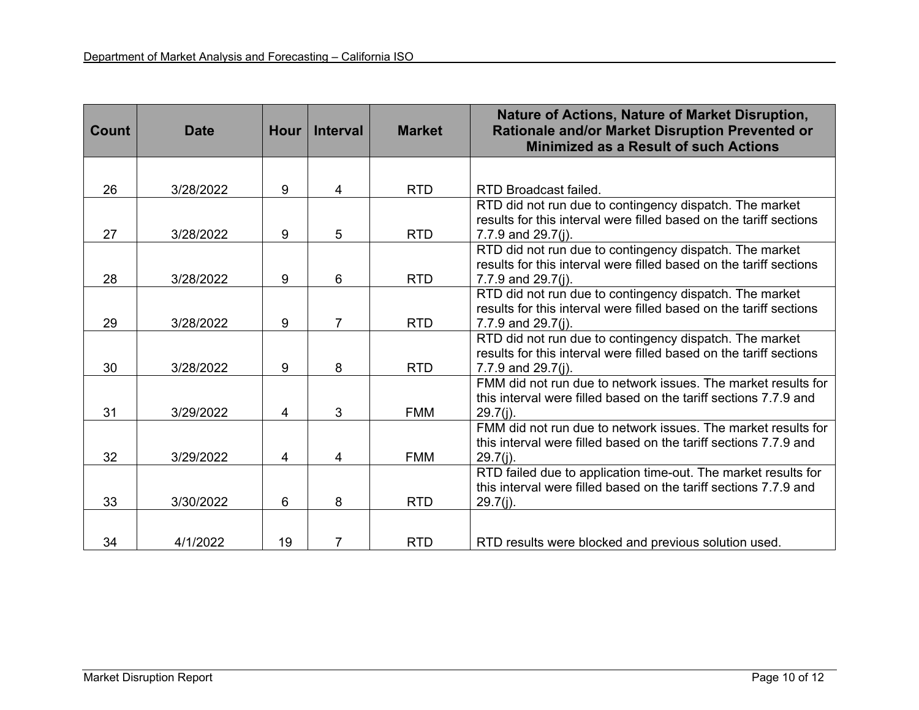| Count | <b>Date</b> | <b>Hour</b> | <b>Interval</b> | <b>Market</b> | Nature of Actions, Nature of Market Disruption,<br>Rationale and/or Market Disruption Prevented or<br><b>Minimized as a Result of such Actions</b> |
|-------|-------------|-------------|-----------------|---------------|----------------------------------------------------------------------------------------------------------------------------------------------------|
|       |             |             |                 |               |                                                                                                                                                    |
| 26    | 3/28/2022   | 9           | 4               | <b>RTD</b>    | RTD Broadcast failed.                                                                                                                              |
|       |             |             |                 |               | RTD did not run due to contingency dispatch. The market                                                                                            |
| 27    | 3/28/2022   | 9           | 5               | <b>RTD</b>    | results for this interval were filled based on the tariff sections<br>7.7.9 and 29.7(j).                                                           |
|       |             |             |                 |               | RTD did not run due to contingency dispatch. The market                                                                                            |
|       |             |             |                 |               | results for this interval were filled based on the tariff sections                                                                                 |
| 28    | 3/28/2022   | 9           | 6               | <b>RTD</b>    | 7.7.9 and 29.7(j).                                                                                                                                 |
|       |             |             |                 |               | RTD did not run due to contingency dispatch. The market<br>results for this interval were filled based on the tariff sections                      |
| 29    | 3/28/2022   | 9           | $\overline{7}$  | <b>RTD</b>    | 7.7.9 and 29.7(j).                                                                                                                                 |
|       |             |             |                 |               | RTD did not run due to contingency dispatch. The market                                                                                            |
|       |             |             |                 |               | results for this interval were filled based on the tariff sections                                                                                 |
| 30    | 3/28/2022   | 9           | 8               | <b>RTD</b>    | 7.7.9 and 29.7(i).                                                                                                                                 |
|       |             |             |                 |               | FMM did not run due to network issues. The market results for<br>this interval were filled based on the tariff sections 7.7.9 and                  |
| 31    | 3/29/2022   | 4           | 3               | <b>FMM</b>    | $29.7(j)$ .                                                                                                                                        |
|       |             |             |                 |               | FMM did not run due to network issues. The market results for                                                                                      |
|       |             |             |                 |               | this interval were filled based on the tariff sections 7.7.9 and                                                                                   |
| 32    | 3/29/2022   | 4           | 4               | <b>FMM</b>    | $29.7(j)$ .                                                                                                                                        |
|       |             |             |                 |               | RTD failed due to application time-out. The market results for                                                                                     |
|       |             |             |                 |               | this interval were filled based on the tariff sections 7.7.9 and                                                                                   |
| 33    | 3/30/2022   | 6           | 8               | <b>RTD</b>    | $29.7(j)$ .                                                                                                                                        |
|       |             |             |                 |               |                                                                                                                                                    |
| 34    | 4/1/2022    | 19          | 7               | <b>RTD</b>    | RTD results were blocked and previous solution used.                                                                                               |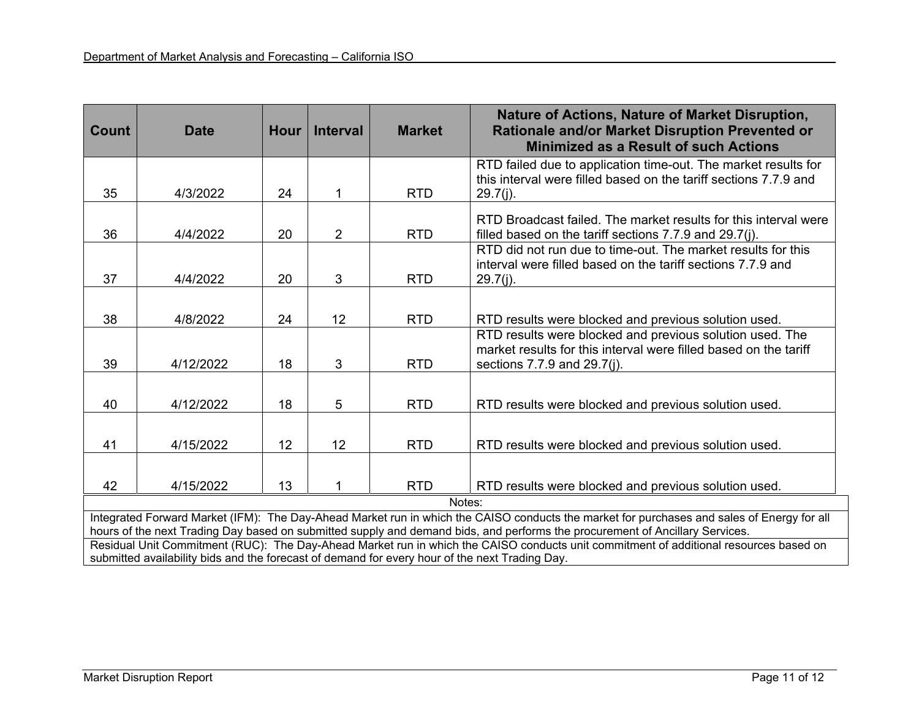| Count                                                                                                                                                                                                                                                                      | <b>Date</b> | <b>Hour</b> | <b>Interval</b> | <b>Market</b> | <b>Nature of Actions, Nature of Market Disruption,</b><br>Rationale and/or Market Disruption Prevented or<br><b>Minimized as a Result of such Actions</b> |
|----------------------------------------------------------------------------------------------------------------------------------------------------------------------------------------------------------------------------------------------------------------------------|-------------|-------------|-----------------|---------------|-----------------------------------------------------------------------------------------------------------------------------------------------------------|
|                                                                                                                                                                                                                                                                            |             |             |                 |               | RTD failed due to application time-out. The market results for<br>this interval were filled based on the tariff sections 7.7.9 and                        |
| 35                                                                                                                                                                                                                                                                         | 4/3/2022    | 24          |                 | <b>RTD</b>    | $29.7(i)$ .                                                                                                                                               |
| 36                                                                                                                                                                                                                                                                         | 4/4/2022    | 20          | $\overline{2}$  | <b>RTD</b>    | RTD Broadcast failed. The market results for this interval were<br>filled based on the tariff sections 7.7.9 and 29.7(j).                                 |
| 37                                                                                                                                                                                                                                                                         | 4/4/2022    | 20          | 3               | <b>RTD</b>    | RTD did not run due to time-out. The market results for this<br>interval were filled based on the tariff sections 7.7.9 and<br>$29.7(j)$ .                |
|                                                                                                                                                                                                                                                                            |             |             |                 |               |                                                                                                                                                           |
| 38                                                                                                                                                                                                                                                                         | 4/8/2022    | 24          | 12              | <b>RTD</b>    | RTD results were blocked and previous solution used.                                                                                                      |
|                                                                                                                                                                                                                                                                            |             |             |                 |               | RTD results were blocked and previous solution used. The<br>market results for this interval were filled based on the tariff                              |
| 39                                                                                                                                                                                                                                                                         | 4/12/2022   | 18          | 3               | <b>RTD</b>    | sections 7.7.9 and 29.7(j).                                                                                                                               |
| 40                                                                                                                                                                                                                                                                         | 4/12/2022   | 18          | 5               | <b>RTD</b>    | RTD results were blocked and previous solution used.                                                                                                      |
| 41                                                                                                                                                                                                                                                                         | 4/15/2022   | 12          | 12              | <b>RTD</b>    | RTD results were blocked and previous solution used.                                                                                                      |
| 42                                                                                                                                                                                                                                                                         | 4/15/2022   | 13          |                 | <b>RTD</b>    | RTD results were blocked and previous solution used.                                                                                                      |
| Notes:                                                                                                                                                                                                                                                                     |             |             |                 |               |                                                                                                                                                           |
| Integrated Forward Market (IFM): The Day-Ahead Market run in which the CAISO conducts the market for purchases and sales of Energy for all<br>hours of the next Trading Day based on submitted supply and demand bids, and performs the procurement of Ancillary Services. |             |             |                 |               |                                                                                                                                                           |
| Residual Unit Commitment (RUC): The Day-Ahead Market run in which the CAISO conducts unit commitment of additional resources based on                                                                                                                                      |             |             |                 |               |                                                                                                                                                           |
| submitted availability bids and the forecast of demand for every hour of the next Trading Day.                                                                                                                                                                             |             |             |                 |               |                                                                                                                                                           |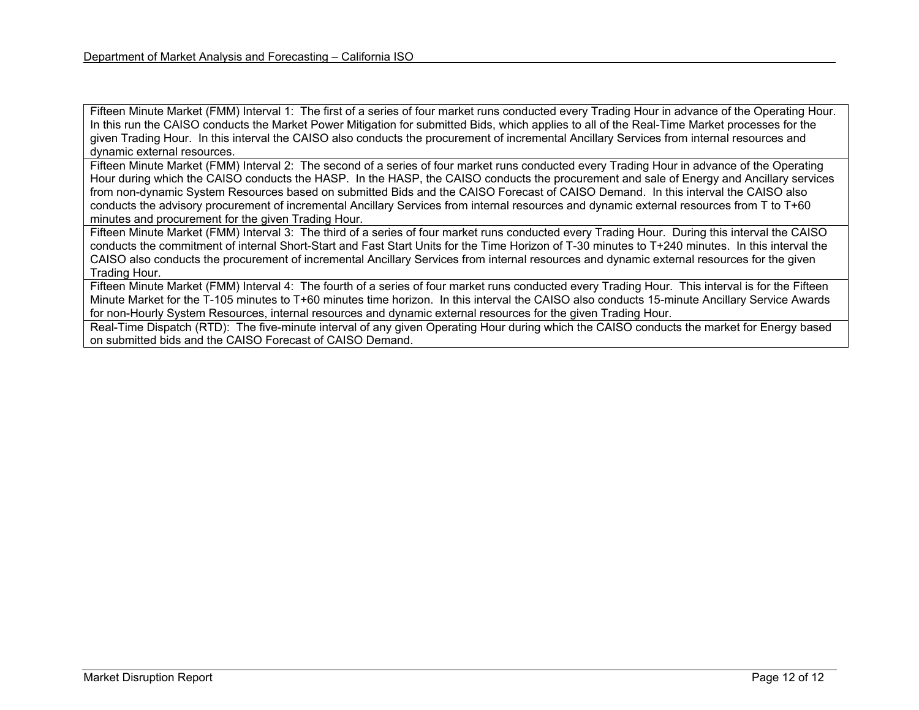Fifteen Minute Market (FMM) Interval 1: The first of a series of four market runs conducted every Trading Hour in advance of the Operating Hour. In this run the CAISO conducts the Market Power Mitigation for submitted Bids, which applies to all of the Real-Time Market processes for the given Trading Hour. In this interval the CAISO also conducts the procurement of incremental Ancillary Services from internal resources and dynamic external resources.

Fifteen Minute Market (FMM) Interval 2: The second of a series of four market runs conducted every Trading Hour in advance of the Operating Hour during which the CAISO conducts the HASP. In the HASP, the CAISO conducts the procurement and sale of Energy and Ancillary services from non-dynamic System Resources based on submitted Bids and the CAISO Forecast of CAISO Demand. In this interval the CAISO also conducts the advisory procurement of incremental Ancillary Services from internal resources and dynamic external resources from T to T+60 minutes and procurement for the given Trading Hour.

Fifteen Minute Market (FMM) Interval 3: The third of a series of four market runs conducted every Trading Hour. During this interval the CAISO conducts the commitment of internal Short-Start and Fast Start Units for the Time Horizon of T-30 minutes to T+240 minutes. In this interval the CAISO also conducts the procurement of incremental Ancillary Services from internal resources and dynamic external resources for the given Trading Hour.

Fifteen Minute Market (FMM) Interval 4: The fourth of a series of four market runs conducted every Trading Hour. This interval is for the Fifteen Minute Market for the T-105 minutes to T+60 minutes time horizon. In this interval the CAISO also conducts 15-minute Ancillary Service Awards for non-Hourly System Resources, internal resources and dynamic external resources for the given Trading Hour.

Real-Time Dispatch (RTD): The five-minute interval of any given Operating Hour during which the CAISO conducts the market for Energy based on submitted bids and the CAISO Forecast of CAISO Demand.